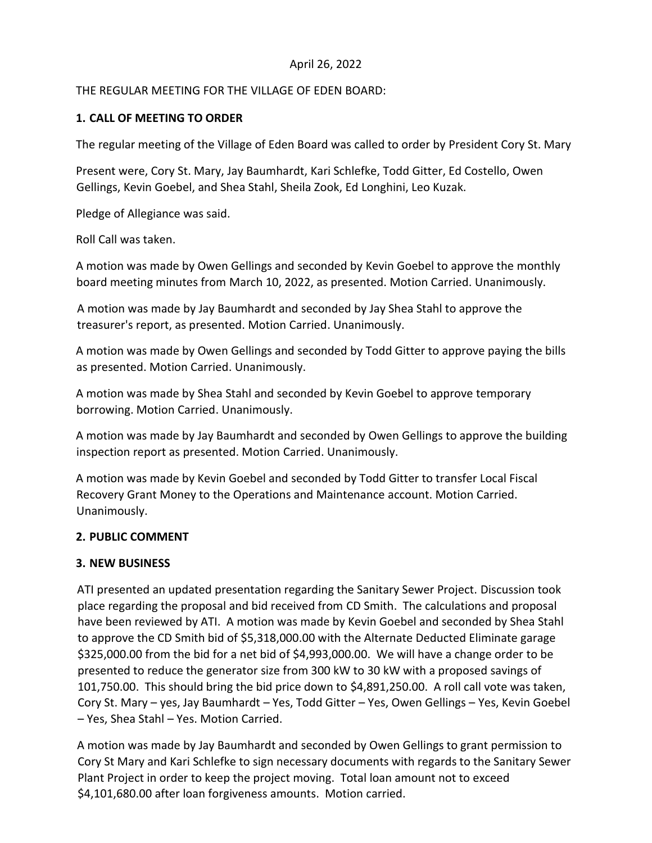## April 26, 2022

## THE REGULAR MEETING FOR THE VILLAGE OF EDEN BOARD:

# **1. CALL OF MEETING TO ORDER**

The regular meeting of the Village of Eden Board was called to order by President Cory St. Mary

Present were, Cory St. Mary, Jay Baumhardt, Kari Schlefke, Todd Gitter, Ed Costello, Owen Gellings, Kevin Goebel, and Shea Stahl, Sheila Zook, Ed Longhini, Leo Kuzak.

Pledge of Allegiance was said.

Roll Call was taken.

A motion was made by Owen Gellings and seconded by Kevin Goebel to approve the monthly board meeting minutes from March 10, 2022, as presented. Motion Carried. Unanimously.

A motion was made by Jay Baumhardt and seconded by Jay Shea Stahl to approve the treasurer's report, as presented. Motion Carried. Unanimously.

A motion was made by Owen Gellings and seconded by Todd Gitter to approve paying the bills as presented. Motion Carried. Unanimously.

A motion was made by Shea Stahl and seconded by Kevin Goebel to approve temporary borrowing. Motion Carried. Unanimously.

A motion was made by Jay Baumhardt and seconded by Owen Gellings to approve the building inspection report as presented. Motion Carried. Unanimously.

A motion was made by Kevin Goebel and seconded by Todd Gitter to transfer Local Fiscal Recovery Grant Money to the Operations and Maintenance account. Motion Carried. Unanimously.

## **2. PUBLIC COMMENT**

## **3. NEW BUSINESS**

ATI presented an updated presentation regarding the Sanitary Sewer Project. Discussion took place regarding the proposal and bid received from CD Smith. The calculations and proposal have been reviewed by ATI. A motion was made by Kevin Goebel and seconded by Shea Stahl to approve the CD Smith bid of \$5,318,000.00 with the Alternate Deducted Eliminate garage \$325,000.00 from the bid for a net bid of \$4,993,000.00. We will have a change order to be presented to reduce the generator size from 300 kW to 30 kW with a proposed savings of 101,750.00. This should bring the bid price down to \$4,891,250.00. A roll call vote was taken, Cory St. Mary – yes, Jay Baumhardt – Yes, Todd Gitter – Yes, Owen Gellings – Yes, Kevin Goebel – Yes, Shea Stahl – Yes. Motion Carried.

A motion was made by Jay Baumhardt and seconded by Owen Gellings to grant permission to Cory St Mary and Kari Schlefke to sign necessary documents with regards to the Sanitary Sewer Plant Project in order to keep the project moving. Total loan amount not to exceed \$4,101,680.00 after loan forgiveness amounts. Motion carried.